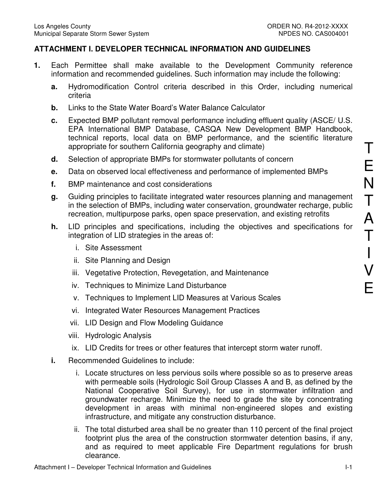## **ATTACHMENT I. DEVELOPER TECHNICAL INFORMATION AND GUIDELINES**

- **1.** Each Permittee shall make available to the Development Community reference information and recommended guidelines. Such information may include the following:
	- **a.** Hydromodification Control criteria described in this Order, including numerical criteria
	- **b.** Links to the State Water Board's Water Balance Calculator
	- **c.** Expected BMP pollutant removal performance including effluent quality (ASCE/ U.S. EPA International BMP Database, CASQA New Development BMP Handbook, technical reports, local data on BMP performance, and the scientific literature appropriate for southern California geography and climate)
	- **d.** Selection of appropriate BMPs for stormwater pollutants of concern
	- **e.** Data on observed local effectiveness and performance of implemented BMPs
	- **f.** BMP maintenance and cost considerations
	- **g.** Guiding principles to facilitate integrated water resources planning and management in the selection of BMPs, including water conservation, groundwater recharge, public recreation, multipurpose parks, open space preservation, and existing retrofits
	- **h.** LID principles and specifications, including the objectives and specifications for integration of LID strategies in the areas of:
		- i. Site Assessment
		- ii. Site Planning and Design
		- iii. Vegetative Protection, Revegetation, and Maintenance
		- iv. Techniques to Minimize Land Disturbance
		- v. Techniques to Implement LID Measures at Various Scales
		- vi. Integrated Water Resources Management Practices
		- vii. LID Design and Flow Modeling Guidance
		- viii. Hydrologic Analysis
		- ix. LID Credits for trees or other features that intercept storm water runoff.
	- **i.** Recommended Guidelines to include:
		- i. Locate structures on less pervious soils where possible so as to preserve areas with permeable soils (Hydrologic Soil Group Classes A and B, as defined by the National Cooperative Soil Survey), for use in stormwater infiltration and groundwater recharge. Minimize the need to grade the site by concentrating development in areas with minimal non-engineered slopes and existing infrastructure, and mitigate any construction disturbance.
		- ii. The total disturbed area shall be no greater than 110 percent of the final project footprint plus the area of the construction stormwater detention basins, if any, and as required to meet applicable Fire Department regulations for brush clearance.